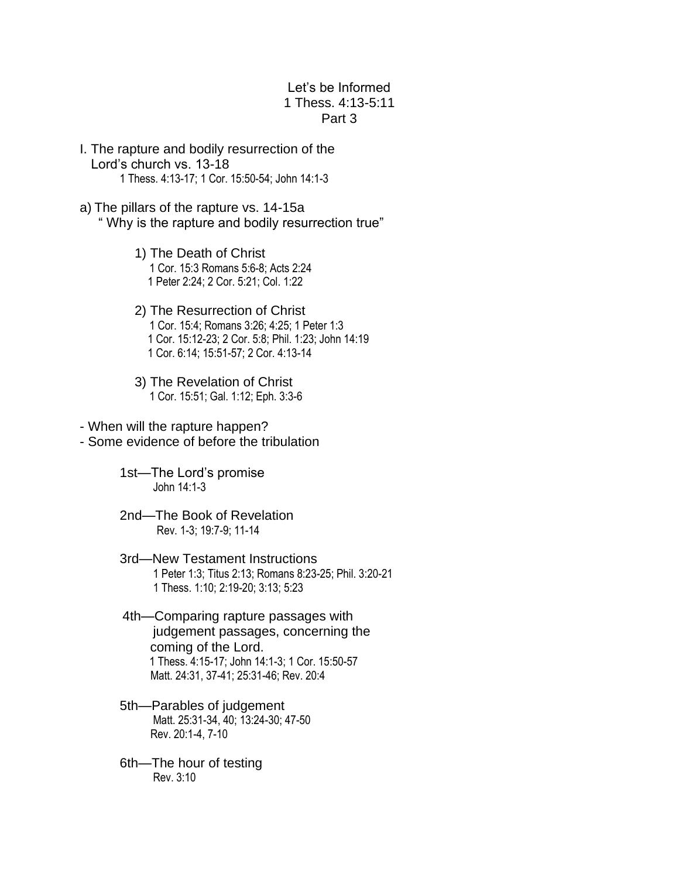## Let's be Informed 1 Thess. 4:13-5:11 Part 3

- I. The rapture and bodily resurrection of the Lord's church vs. 13-18 1 Thess. 4:13-17; 1 Cor. 15:50-54; John 14:1-3
- a) The pillars of the rapture vs. 14-15a " Why is the rapture and bodily resurrection true"
	- 1) The Death of Christ 1 Cor. 15:3 Romans 5:6-8; Acts 2:24 1 Peter 2:24; 2 Cor. 5:21; Col. 1:22
	- 2) The Resurrection of Christ 1 Cor. 15:4; Romans 3:26; 4:25; 1 Peter 1:3 1 Cor. 15:12-23; 2 Cor. 5:8; Phil. 1:23; John 14:19 1 Cor. 6:14; 15:51-57; 2 Cor. 4:13-14
	- 3) The Revelation of Christ 1 Cor. 15:51; Gal. 1:12; Eph. 3:3-6
- When will the rapture happen?
- Some evidence of before the tribulation
	- 1st—The Lord's promise John 14:1-3
	- 2nd—The Book of Revelation Rev. 1-3; 19:7-9; 11-14
	- 3rd—New Testament Instructions 1 Peter 1:3; Titus 2:13; Romans 8:23-25; Phil. 3:20-21 1 Thess. 1:10; 2:19-20; 3:13; 5:23
	- 4th—Comparing rapture passages with judgement passages, concerning the coming of the Lord. 1 Thess. 4:15-17; John 14:1-3; 1 Cor. 15:50-57 Matt. 24:31, 37-41; 25:31-46; Rev. 20:4
	- 5th—Parables of judgement Matt. 25:31-34, 40; 13:24-30; 47-50 Rev. 20:1-4, 7-10
	- 6th—The hour of testing Rev. 3:10